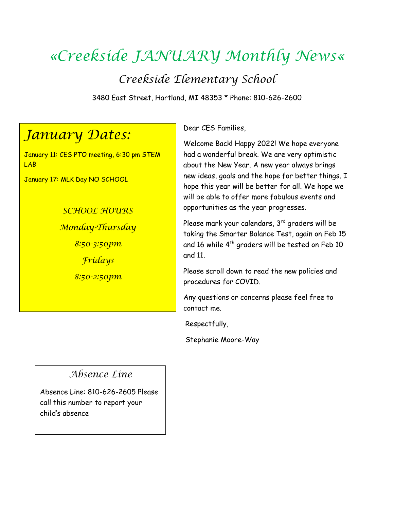# *«Creekside JANUARY Monthly News«*

*Creekside Elementary School*

3480 East Street, Hartland, MI 48353 \* Phone: 810-626-2600

## *January Dates:*

January 11: CES PTO meeting, 6:30 pm STEM LAB

January 17: MLK Day NO SCHOOL

*SCHOOL HOURS Monday-Thursday 8:50-3:50pm Fridays 8:50-2:50pm*

Dear CES Families,

Welcome Back! Happy 2022! We hope everyone had a wonderful break. We are very optimistic about the New Year. A new year always brings new ideas, goals and the hope for better things. I hope this year will be better for all. We hope we will be able to offer more fabulous events and opportunities as the year progresses.

Please mark your calendars,  $3<sup>rd</sup>$  graders will be taking the Smarter Balance Test, again on Feb 15 and 16 while 4<sup>th</sup> graders will be tested on Feb 10 and 11.

Please scroll down to read the new policies and procedures for COVID.

Any questions or concerns please feel free to contact me.

Respectfully,

Stephanie Moore-Way

### *Absence Line*

Absence Line: 810-626-2605 Please call this number to report your child's absence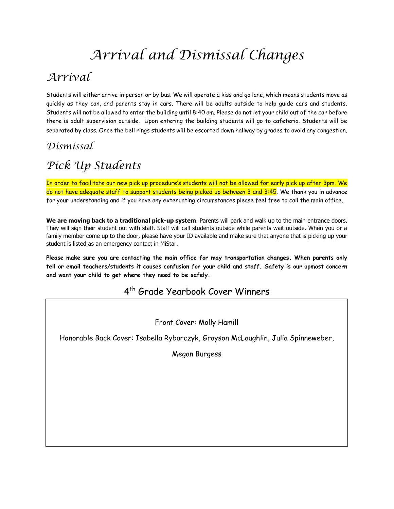# *Arrival and Dismissal Changes*

## *Arrival*

Students will either arrive in person or by bus. We will operate a kiss and go lane, which means students move as quickly as they can, and parents stay in cars. There will be adults outside to help guide cars and students. Students will not be allowed to enter the building until 8:40 am. Please do not let your child out of the car before there is adult supervision outside. Upon entering the building students will go to cafeteria. Students will be separated by class. Once the bell rings students will be escorted down hallway by grades to avoid any congestion.

### *Dismissal*

## *Pick Up Students*

In order to facilitate our new pick up procedure's students will not be allowed for early pick up after 3pm. We do not have adequate staff to support students being picked up between 3 and 3:45. We thank you in advance for your understanding and if you have any extenuating circumstances please feel free to call the main office.

**We are moving back to a traditional pick-up system**. Parents will park and walk up to the main entrance doors. They will sign their student out with staff. Staff will call students outside while parents wait outside. When you or a family member come up to the door, please have your ID available and make sure that anyone that is picking up your student is listed as an emergency contact in MiStar.

**Please make sure you are contacting the main office for may transportation changes. When parents only tell or email teachers/students it causes confusion for your child and staff. Safety is our upmost concern and want your child to get where they need to be safely.** 

### 4 th Grade Yearbook Cover Winners

Front Cover: Molly Hamill

Honorable Back Cover: Isabella Rybarczyk, Grayson McLaughlin, Julia Spinneweber,

Megan Burgess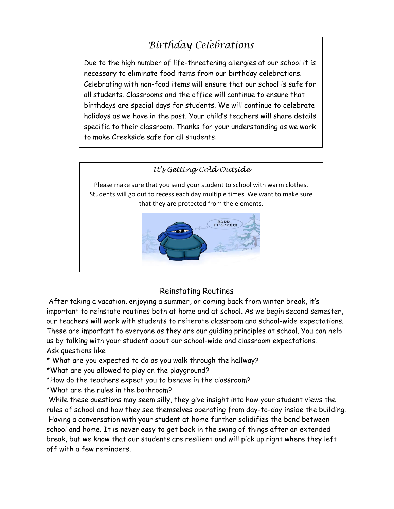## *Birthday Celebrations*

Due to the high number of life-threatening allergies at our school it is necessary to eliminate food items from our birthday celebrations. Celebrating with non-food items will ensure that our school is safe for all students. Classrooms and the office will continue to ensure that birthdays are special days for students. We will continue to celebrate holidays as we have in the past. Your child's teachers will share details specific to their classroom. Thanks for your understanding as we work to make Creekside safe for all students.



#### Reinstating Routines

After taking a vacation, enjoying a summer, or coming back from winter break, it's important to reinstate routines both at home and at school. As we begin second semester, our teachers will work with students to reiterate classroom and school-wide expectations. These are important to everyone as they are our guiding principles at school. You can help us by talking with your student about our school-wide and classroom expectations. Ask questions like

\* What are you expected to do as you walk through the hallway?

\*What are you allowed to play on the playground?

\*How do the teachers expect you to behave in the classroom?

\*What are the rules in the bathroom?

While these questions may seem silly, they give insight into how your student views the rules of school and how they see themselves operating from day-to-day inside the building. Having a conversation with your student at home further solidifies the bond between school and home. It is never easy to get back in the swing of things after an extended break, but we know that our students are resilient and will pick up right where they left off with a few reminders.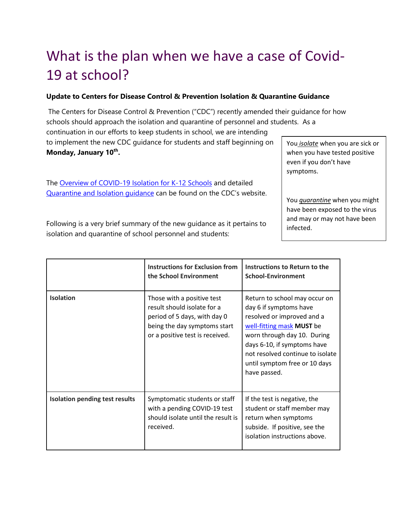# What is the plan when we have a case of Covid-19 at school?

#### **Update to Centers for Disease Control & Prevention Isolation & Quarantine Guidance**

The Centers for Disease Control & Prevention ("CDC") recently amended their guidance for how schools should approach the isolation and quarantine of personnel and students. As a

continuation in our efforts to keep students in school, we are intending to implement the new CDC guidance for students and staff beginning on **Monday, January 10th .**

Th[e](https://www.cdc.gov/coronavirus/2019-ncov/community/schools-childcare/k-12-contact-tracing/about-isolation.html) [Overview of COVID-19 Isolation for K-12 Schools](https://www.cdc.gov/coronavirus/2019-ncov/community/schools-childcare/k-12-contact-tracing/about-isolation.html) and detaile[d](https://www.cdc.gov/coronavirus/2019-ncov/your-health/quarantine-isolation.html) [Quarantine and Isolation guidance](https://www.cdc.gov/coronavirus/2019-ncov/your-health/quarantine-isolation.html) can be found on the CDC's website. You *isolate* when you are sick or when you have tested positive even if you don't have symptoms.

You *quarantine* when you might have been exposed to the virus and may or may not have been infected.

Following is a very brief summary of the new guidance as it pertains to isolation and quarantine of school personnel and students:

|                                       | <b>Instructions for Exclusion from</b><br>the School Environment                                                                                             | Instructions to Return to the<br><b>School-Environment</b>                                                                                                                                                                                                            |
|---------------------------------------|--------------------------------------------------------------------------------------------------------------------------------------------------------------|-----------------------------------------------------------------------------------------------------------------------------------------------------------------------------------------------------------------------------------------------------------------------|
| <b>Isolation</b>                      | Those with a positive test<br>result should isolate for a<br>period of 5 days, with day 0<br>being the day symptoms start<br>or a positive test is received. | Return to school may occur on<br>day 6 if symptoms have<br>resolved or improved and a<br>well-fitting mask MUST be<br>worn through day 10. During<br>days 6-10, if symptoms have<br>not resolved continue to isolate<br>until symptom free or 10 days<br>have passed. |
| <b>Isolation pending test results</b> | Symptomatic students or staff<br>with a pending COVID-19 test<br>should isolate until the result is<br>received.                                             | If the test is negative, the<br>student or staff member may<br>return when symptoms<br>subside. If positive, see the<br>isolation instructions above.                                                                                                                 |